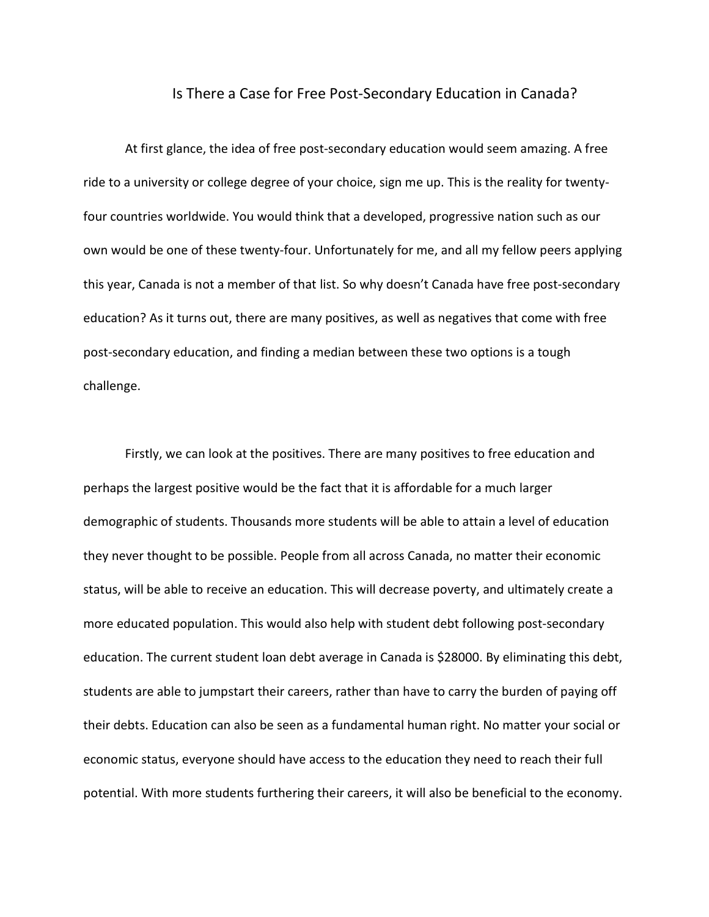## Is There a Case for Free Post-Secondary Education in Canada?

At first glance, the idea of free post-secondary education would seem amazing. A free ride to a university or college degree of your choice, sign me up. This is the reality for twentyfour countries worldwide. You would think that a developed, progressive nation such as our own would be one of these twenty-four. Unfortunately for me, and all my fellow peers applying this year, Canada is not a member of that list. So why doesn't Canada have free post-secondary education? As it turns out, there are many positives, as well as negatives that come with free post-secondary education, and finding a median between these two options is a tough challenge.

 Firstly, we can look at the positives. There are many positives to free education and perhaps the largest positive would be the fact that it is affordable for a much larger demographic of students. Thousands more students will be able to attain a level of education they never thought to be possible. People from all across Canada, no matter their economic status, will be able to receive an education. This will decrease poverty, and ultimately create a more educated population. This would also help with student debt following post-secondary education. The current student loan debt average in Canada is \$28000. By eliminating this debt, students are able to jumpstart their careers, rather than have to carry the burden of paying off their debts. Education can also be seen as a fundamental human right. No matter your social or economic status, everyone should have access to the education they need to reach their full potential. With more students furthering their careers, it will also be beneficial to the economy.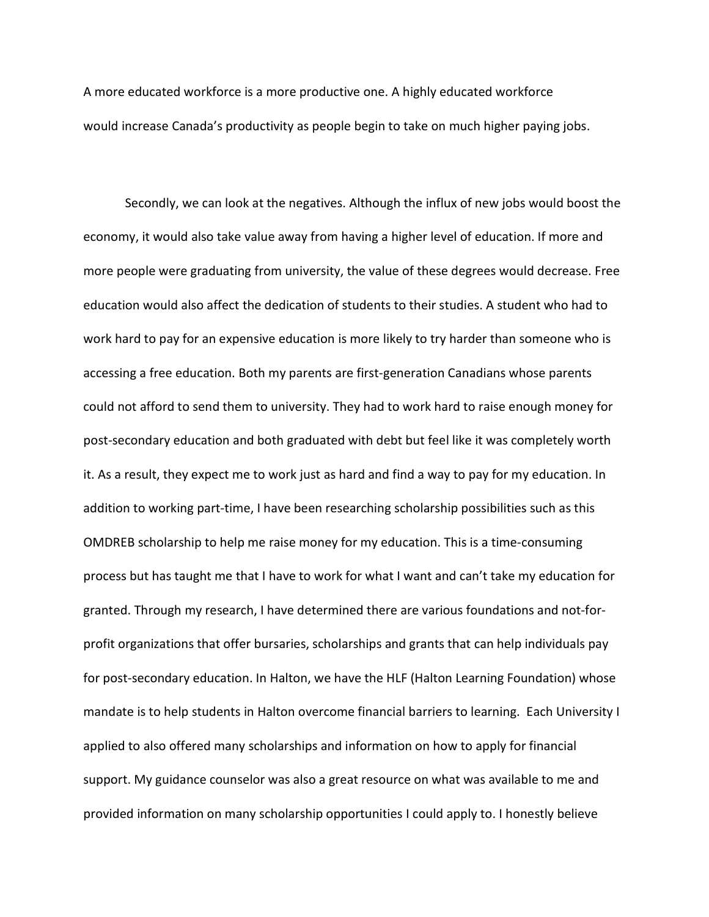A more educated workforce is a more productive one. A highly educated workforce would increase Canada's productivity as people begin to take on much higher paying jobs.

Secondly, we can look at the negatives. Although the influx of new jobs would boost the economy, it would also take value away from having a higher level of education. If more and more people were graduating from university, the value of these degrees would decrease. Free education would also affect the dedication of students to their studies. A student who had to work hard to pay for an expensive education is more likely to try harder than someone who is accessing a free education. Both my parents are first-generation Canadians whose parents could not afford to send them to university. They had to work hard to raise enough money for post-secondary education and both graduated with debt but feel like it was completely worth it. As a result, they expect me to work just as hard and find a way to pay for my education. In addition to working part-time, I have been researching scholarship possibilities such as this OMDREB scholarship to help me raise money for my education. This is a time-consuming process but has taught me that I have to work for what I want and can't take my education for granted. Through my research, I have determined there are various foundations and not-forprofit organizations that offer bursaries, scholarships and grants that can help individuals pay for post-secondary education. In Halton, we have the HLF (Halton Learning Foundation) whose mandate is to help students in Halton overcome financial barriers to learning. Each University I applied to also offered many scholarships and information on how to apply for financial support. My guidance counselor was also a great resource on what was available to me and provided information on many scholarship opportunities I could apply to. I honestly believe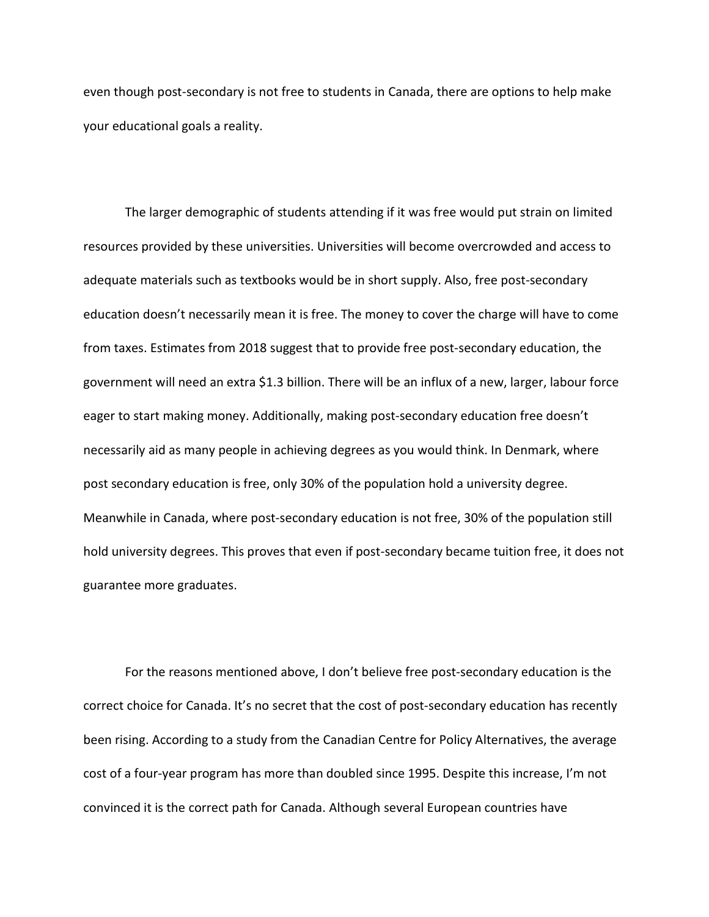even though post-secondary is not free to students in Canada, there are options to help make your educational goals a reality.

The larger demographic of students attending if it was free would put strain on limited resources provided by these universities. Universities will become overcrowded and access to adequate materials such as textbooks would be in short supply. Also, free post-secondary education doesn't necessarily mean it is free. The money to cover the charge will have to come from taxes. Estimates from 2018 suggest that to provide free post-secondary education, the government will need an extra \$1.3 billion. There will be an influx of a new, larger, labour force eager to start making money. Additionally, making post-secondary education free doesn't necessarily aid as many people in achieving degrees as you would think. In Denmark, where post secondary education is free, only 30% of the population hold a university degree. Meanwhile in Canada, where post-secondary education is not free, 30% of the population still hold university degrees. This proves that even if post-secondary became tuition free, it does not guarantee more graduates.

For the reasons mentioned above, I don't believe free post-secondary education is the correct choice for Canada. It's no secret that the cost of post-secondary education has recently been rising. According to a study from the Canadian Centre for Policy Alternatives, the average cost of a four-year program has more than doubled since 1995. Despite this increase, I'm not convinced it is the correct path for Canada. Although several European countries have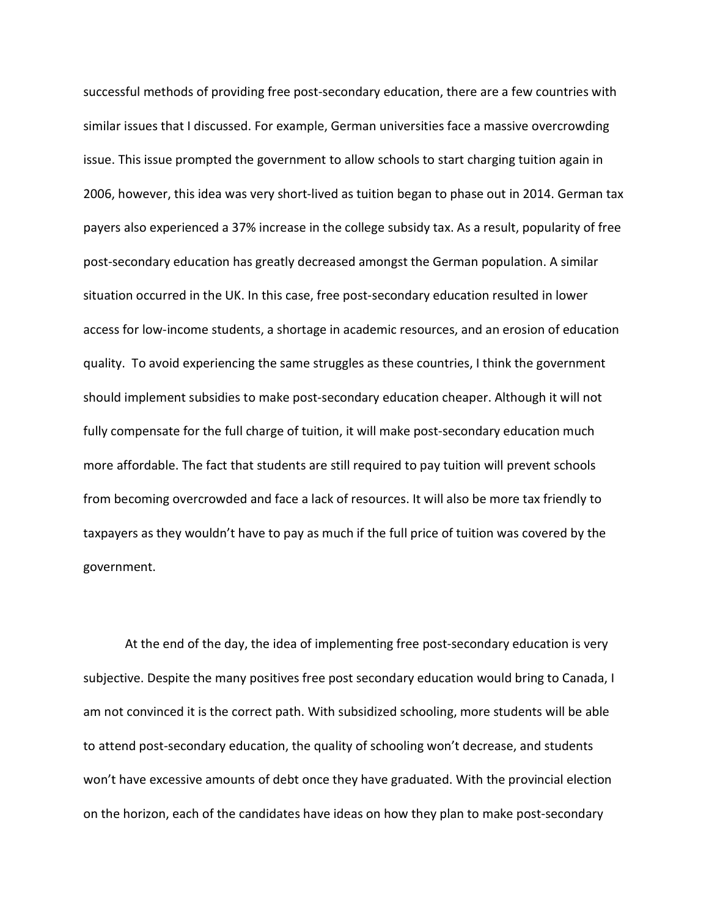successful methods of providing free post-secondary education, there are a few countries with similar issues that I discussed. For example, German universities face a massive overcrowding issue. This issue prompted the government to allow schools to start charging tuition again in 2006, however, this idea was very short-lived as tuition began to phase out in 2014. German tax payers also experienced a 37% increase in the college subsidy tax. As a result, popularity of free post-secondary education has greatly decreased amongst the German population. A similar situation occurred in the UK. In this case, free post-secondary education resulted in lower access for low-income students, a shortage in academic resources, and an erosion of education quality. To avoid experiencing the same struggles as these countries, I think the government should implement subsidies to make post-secondary education cheaper. Although it will not fully compensate for the full charge of tuition, it will make post-secondary education much more affordable. The fact that students are still required to pay tuition will prevent schools from becoming overcrowded and face a lack of resources. It will also be more tax friendly to taxpayers as they wouldn't have to pay as much if the full price of tuition was covered by the government.

At the end of the day, the idea of implementing free post-secondary education is very subjective. Despite the many positives free post secondary education would bring to Canada, I am not convinced it is the correct path. With subsidized schooling, more students will be able to attend post-secondary education, the quality of schooling won't decrease, and students won't have excessive amounts of debt once they have graduated. With the provincial election on the horizon, each of the candidates have ideas on how they plan to make post-secondary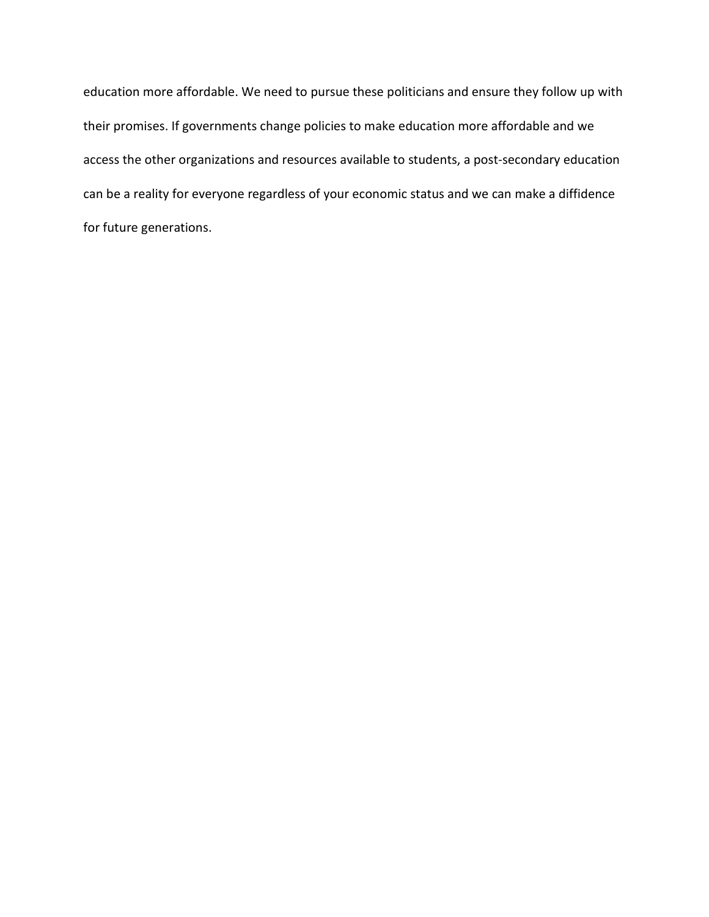education more affordable. We need to pursue these politicians and ensure they follow up with their promises. If governments change policies to make education more affordable and we access the other organizations and resources available to students, a post-secondary education can be a reality for everyone regardless of your economic status and we can make a diffidence for future generations.